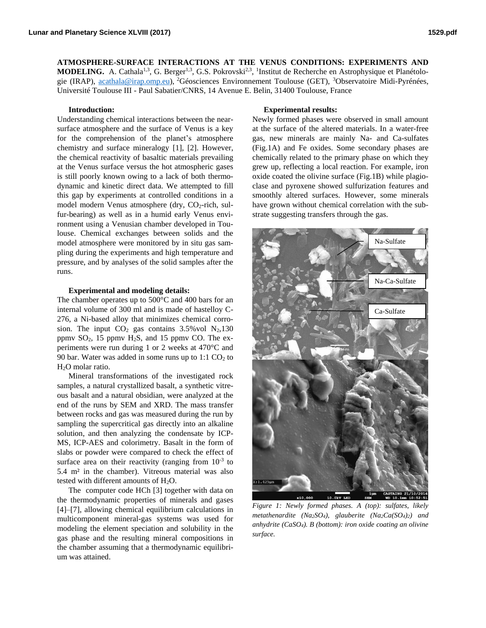**ATMOSPHERE-SURFACE INTERACTIONS AT THE VENUS CONDITIONS: EXPERIMENTS AND MODELING.** A. Cathala<sup>1,3</sup>, G. Berger<sup>1,3</sup>, G.S. Pokrovski<sup>2,3</sup>, <sup>1</sup>Institut de Recherche en Astrophysique et Planétologie (IRAP), [acathala@irap.omp.eu\)](mailto:acathala@irap.omp.eu), <sup>2</sup>Géosciences Environnement Toulouse (GET), <sup>3</sup>Observatoire Midi-Pyrénées, Université Toulouse III - Paul Sabatier/CNRS, 14 Avenue E. Belin, 31400 Toulouse, France

# **Introduction:**

Understanding chemical interactions between the nearsurface atmosphere and the surface of Venus is a key for the comprehension of the planet's atmosphere chemistry and surface mineralogy [1], [2]. However, the chemical reactivity of basaltic materials prevailing at the Venus surface versus the hot atmospheric gases is still poorly known owing to a lack of both thermodynamic and kinetic direct data. We attempted to fill this gap by experiments at controlled conditions in a model modern Venus atmosphere (dry,  $CO_2$ -rich, sulfur-bearing) as well as in a humid early Venus environment using a Venusian chamber developed in Toulouse. Chemical exchanges between solids and the model atmosphere were monitored by in situ gas sampling during the experiments and high temperature and pressure, and by analyses of the solid samples after the runs.

#### **Experimental and modeling details:**

The chamber operates up to 500°C and 400 bars for an internal volume of 300 ml and is made of hastelloy C-276, a Ni-based alloy that minimizes chemical corrosion. The input  $CO<sub>2</sub>$  gas contains 3.5% vol  $N<sub>2</sub>$ ,130 ppmv  $SO_2$ , 15 ppmv  $H_2S$ , and 15 ppmv CO. The experiments were run during 1 or 2 weeks at 470°C and 90 bar. Water was added in some runs up to  $1:1 \text{ CO}_2$  to H<sub>2</sub>O molar ratio.

Mineral transformations of the investigated rock samples, a natural crystallized basalt, a synthetic vitreous basalt and a natural obsidian, were analyzed at the end of the runs by SEM and XRD. The mass transfer between rocks and gas was measured during the run by sampling the supercritical gas directly into an alkaline solution, and then analyzing the condensate by ICP-MS, ICP-AES and colorimetry. Basalt in the form of slabs or powder were compared to check the effect of surface area on their reactivity (ranging from  $10^{-3}$  to 5.4 m² in the chamber). Vitreous material was also tested with different amounts of  $H_2O$ .

The computer code HCh [3] together with data on the thermodynamic properties of minerals and gases [4]–[7], allowing chemical equilibrium calculations in multicomponent mineral-gas systems was used for modeling the element speciation and solubility in the gas phase and the resulting mineral compositions in the chamber assuming that a thermodynamic equilibrium was attained.

#### **Experimental results:**

Newly formed phases were observed in small amount at the surface of the altered materials. In a water-free gas, new minerals are mainly Na- and Ca-sulfates (Fig.1A) and Fe oxides. Some secondary phases are chemically related to the primary phase on which they grew up, reflecting a local reaction. For example, iron oxide coated the olivine surface (Fig.1B) while plagioclase and pyroxene showed sulfurization features and smoothly altered surfaces. However, some minerals have grown without chemical correlation with the substrate suggesting transfers through the gas.



*Figure 1: Newly formed phases. A (top): sulfates, likely metathenardite (Na2SO4), glauberite (Na2Ca(SO4)2) and anhydrite (CaSO4). B (bottom): iron oxide coating an olivine surface.*